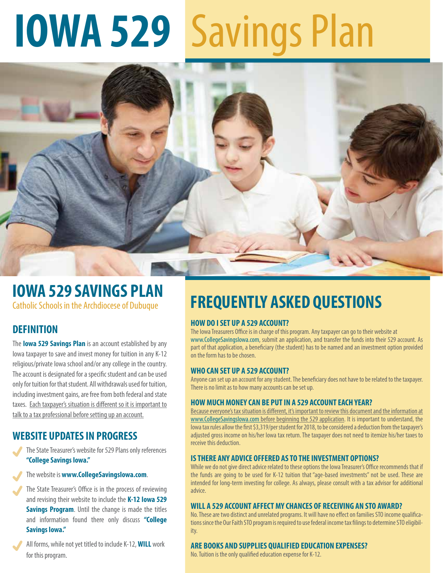# **IOWA 529** Savings Plan



## **IOWA 529 SAVINGS PLAN**

Catholic Schools in the Archdiocese of Dubuque

## **DEFINITION**

The **Iowa 529 Savings Plan** is an account established by any Iowa taxpayer to save and invest money for tuition in any K-12 religious/private Iowa school and/or any college in the country. The account is designated for a specific student and can be used only for tuition for that student. All withdrawals used for tuition, including investment gains, are free from both federal and state taxes. Each taxpayer's situation is different so it is important to talk to a tax professional before setting up an account.

## **WEBSITE UPDATES IN PROGRESS**

- The State Treasurer's website for 529 Plans only references **"College Savings Iowa."**
- The website is **www.CollegeSavingsIowa.com**.
- The State Treasurer's Office is in the process of reviewing and revising their website to include the **K-12 Iowa 529 Savings Program**. Until the change is made the titles and information found there only discuss **"College Savings Iowa."**

All forms, while not yet titled to include K-12, **WILL** work for this program.

# **FREQUENTLY ASKED QUESTIONS**

#### **HOW DO I SET UP A 529 ACCOUNT?**

The Iowa Treasurers Office is in charge of this program. Any taxpayer can go to their website at www.CollegeSavingsIowa.com, submit an application, and transfer the funds into their 529 account. As part of that application, a beneficiary (the student) has to be named and an investment option provided on the form has to be chosen.

#### **WHO CAN SET UP A 529 ACCOUNT?**

Anyone can set up an account for any student. The beneficiary does not have to be related to the taxpayer. There is no limit as to how many accounts can be set up.

#### **HOW MUCH MONEY CAN BE PUT IN A 529 ACCOUNT EACH YEAR?**

Because everyone's tax situation is different, it's important to review this document and the information at www.CollegeSavingslowa.com before beginning the 529 application. It is important to understand, the lowa tax rules allow the first \$3,319/per student for 2018, to be considered a deduction from the taxpayer's adjusted gross income on his/her Iowa tax return. The taxpayer does not need to itemize his/her taxes to receive this deduction.

#### **IS THERE ANY ADVICE OFFERED AS TO THE INVESTMENT OPTIONS?**

While we do not give direct advice related to these options the Iowa Treasurer's Office recommends that if the funds are going to be used for K-12 tuition that "age-based investments" not be used. These are intended for long-term investing for college. As always, please consult with a tax advisor for additional advice.

#### **WILL A 529 ACCOUNT AFFECT MY CHANCES OF RECEIVING AN STO AWARD?**

No. These are two distinct and unrelated programs. It will have no effect on families STO income qualifications since the Our Faith STO program is required to use federal income tax filings to determine STO eligibility.

#### **ARE BOOKS AND SUPPLIES QUALIFIED EDUCATION EXPENSES?**

No. Tuition is the only qualified education expense for K-12.